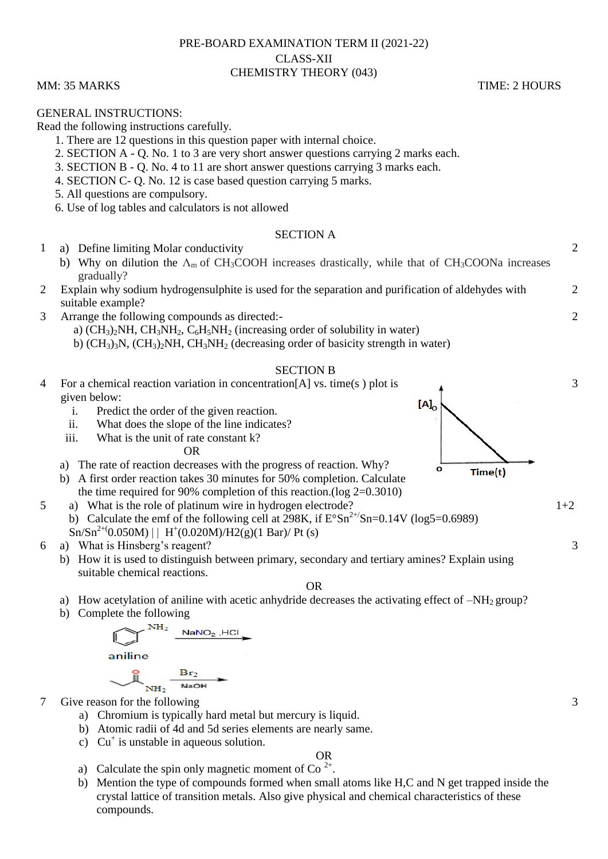# PRE-BOARD EXAMINATION TERM II (2021-22) CLASS-XII CHEMISTRY THEORY (043)

## MM: 35 MARKS TIME: 2 HOURS

## GENERAL INSTRUCTIONS:

Read the following instructions carefully.

- 1. There are 12 questions in this question paper with internal choice.
- 2. SECTION A Q. No. 1 to 3 are very short answer questions carrying 2 marks each.
- 3. SECTION B Q. No. 4 to 11 are short answer questions carrying 3 marks each.
- 4. SECTION C- Q. No. 12 is case based question carrying 5 marks.
- 5. All questions are compulsory.
- 6. Use of log tables and calculators is not allowed

## SECTION A

- 1 a) Define limiting Molar conductivity
	- b) Why on dilution the  $\Lambda_{\rm m}$  of CH<sub>3</sub>COOH increases drastically, while that of CH<sub>3</sub>COONa increases gradually?
- 2 Explain why sodium hydrogensulphite is used for the separation and purification of aldehydes with suitable example?
- 3 Arrange the following compounds as directed: a)  $(CH_3)_{2}NH$ ,  $CH_3NH_2$ ,  $C_6H_5NH_2$  (increasing order of solubility in water) b)  $(CH_3)$ <sub>3</sub>N,  $(CH_3)$ <sub>2</sub>NH,  $CH_3$ <sub>2</sub>NH<sub>2</sub> (decreasing order of basicity strength in water)

### SECTION B

- 4 For a chemical reaction variation in concentration[A] vs. time(s ) plot is 3 given below:  $[A]_0$ i. Predict the order of the given reaction. ii. What does the slope of the line indicates? iii. What is the unit of rate constant k? OR a) The rate of reaction decreases with the progress of reaction. Why? Ō Time(t) b) A first order reaction takes 30 minutes for 50% completion. Calculate the time required for 90% completion of this reaction.(log 2=0.3010) 5 a) What is the role of platinum wire in hydrogen electrode?  $1+2$ b) Calculate the emf of the following cell at 298K, if  $E^{\circ}Sn^{2+}/Sn=0.14V$  (log5=0.6989)  $\text{Sn/Sn}^{2+}(0.050 \text{M}) \mid \text{H}^{+}(0.020 \text{M})/\text{H2(g)}(1 \text{ Bar})/\text{Pt}$  (s) 3
- 6 a) What is Hinsberg's reagent?
	- b) How it is used to distinguish between primary, secondary and tertiary amines? Explain using suitable chemical reactions.

## OR

- a) How acetylation of aniline with acetic anhydride decreases the activating effect of  $-NH<sub>2</sub>$  group?
- b) Complete the following

$$
\begin{array}{c}\n\hline\n\text{NH}_2 \text{ NaNO}_2, \text{HCl} \\
\hline\n\text{aniline} \\
\hline\n\text{NH}_2 \text{NaOH}\n\end{array}
$$

7 Give reason for the following

- a) Chromium is typically hard metal but mercury is liquid.
- b) Atomic radii of 4d and 5d series elements are nearly same.
- c)  $Cu^+$  is unstable in aqueous solution.

## OR

- a) Calculate the spin only magnetic moment of Co<sup>2+</sup>.
- b) Mention the type of compounds formed when small atoms like H,C and N get trapped inside the crystal lattice of transition metals. Also give physical and chemical characteristics of these compounds.

3

2

 $\mathcal{D}$ 

2